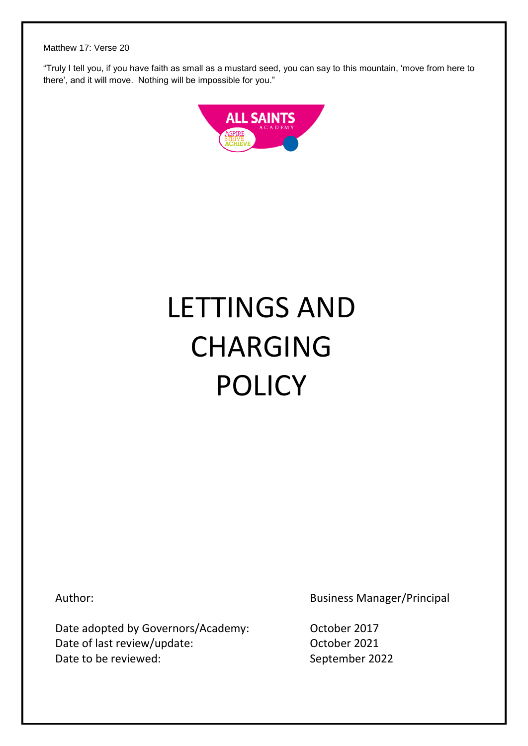"Truly I tell you, if you have faith as small as a mustard seed, you can say to this mountain, 'move from here to there', and it will move. Nothing will be impossible for you."



# LETTINGS AND CHARGING POLICY

Author:

Date adopted by Governors/Academy: Date of last review/update: Date to be reviewed:

Business Manager/Principal

October 2017 October 2021 September 2022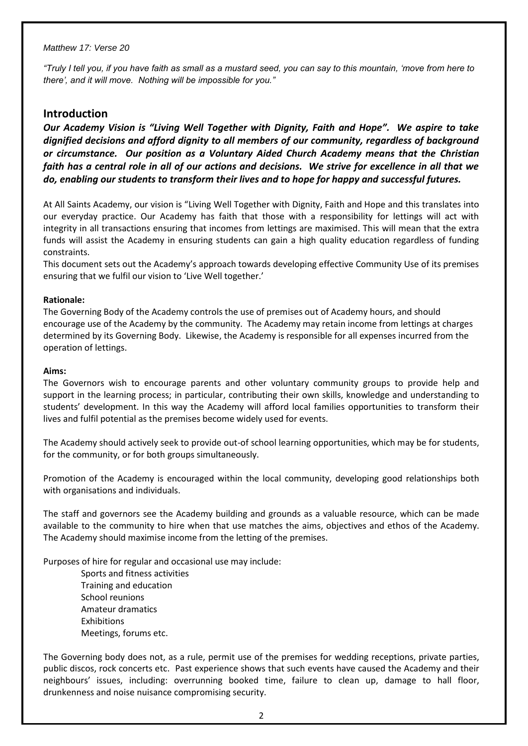*"Truly I tell you, if you have faith as small as a mustard seed, you can say to this mountain, 'move from here to there', and it will move. Nothing will be impossible for you."*

## **Introduction**

*Our Academy Vision is "Living Well Together with Dignity, Faith and Hope". We aspire to take dignified decisions and afford dignity to all members of our community, regardless of background or circumstance. Our position as a Voluntary Aided Church Academy means that the Christian faith has a central role in all of our actions and decisions. We strive for excellence in all that we do, enabling our students to transform their lives and to hope for happy and successful futures.*

At All Saints Academy, our vision is "Living Well Together with Dignity, Faith and Hope and this translates into our everyday practice. Our Academy has faith that those with a responsibility for lettings will act with integrity in all transactions ensuring that incomes from lettings are maximised. This will mean that the extra funds will assist the Academy in ensuring students can gain a high quality education regardless of funding constraints.

This document sets out the Academy's approach towards developing effective Community Use of its premises ensuring that we fulfil our vision to 'Live Well together.'

#### **Rationale:**

The Governing Body of the Academy controls the use of premises out of Academy hours, and should encourage use of the Academy by the community. The Academy may retain income from lettings at charges determined by its Governing Body. Likewise, the Academy is responsible for all expenses incurred from the operation of lettings.

#### **Aims:**

The Governors wish to encourage parents and other voluntary community groups to provide help and support in the learning process; in particular, contributing their own skills, knowledge and understanding to students' development. In this way the Academy will afford local families opportunities to transform their lives and fulfil potential as the premises become widely used for events.

The Academy should actively seek to provide out-of school learning opportunities, which may be for students, for the community, or for both groups simultaneously.

Promotion of the Academy is encouraged within the local community, developing good relationships both with organisations and individuals.

The staff and governors see the Academy building and grounds as a valuable resource, which can be made available to the community to hire when that use matches the aims, objectives and ethos of the Academy. The Academy should maximise income from the letting of the premises.

Purposes of hire for regular and occasional use may include:

Sports and fitness activities Training and education School reunions Amateur dramatics Exhibitions Meetings, forums etc.

The Governing body does not, as a rule, permit use of the premises for wedding receptions, private parties, public discos, rock concerts etc. Past experience shows that such events have caused the Academy and their neighbours' issues, including: overrunning booked time, failure to clean up, damage to hall floor, drunkenness and noise nuisance compromising security.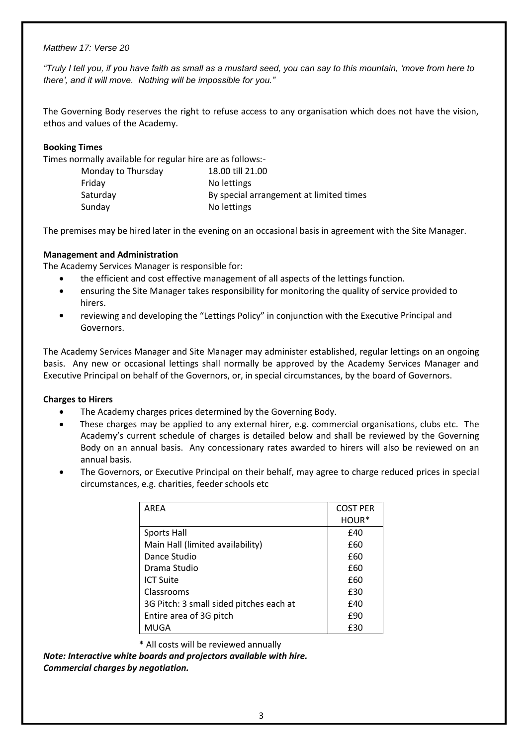*"Truly I tell you, if you have faith as small as a mustard seed, you can say to this mountain, 'move from here to there', and it will move. Nothing will be impossible for you."*

The Governing Body reserves the right to refuse access to any organisation which does not have the vision, ethos and values of the Academy.

## **Booking Times**

Times normally available for regular hire are as follows:-

| Monday to Thursday | 18.00 till 21.00                        |
|--------------------|-----------------------------------------|
| Friday             | No lettings                             |
| Saturday           | By special arrangement at limited times |
| Sunday             | No lettings                             |

The premises may be hired later in the evening on an occasional basis in agreement with the Site Manager.

## **Management and Administration**

The Academy Services Manager is responsible for:

- the efficient and cost effective management of all aspects of the lettings function.
- ensuring the Site Manager takes responsibility for monitoring the quality of service provided to hirers.
- reviewing and developing the "Lettings Policy" in conjunction with the Executive Principal and Governors.

The Academy Services Manager and Site Manager may administer established, regular lettings on an ongoing basis. Any new or occasional lettings shall normally be approved by the Academy Services Manager and Executive Principal on behalf of the Governors, or, in special circumstances, by the board of Governors.

#### **Charges to Hirers**

- The Academy charges prices determined by the Governing Body.
- These charges may be applied to any external hirer, e.g. commercial organisations, clubs etc. The Academy's current schedule of charges is detailed below and shall be reviewed by the Governing Body on an annual basis. Any concessionary rates awarded to hirers will also be reviewed on an annual basis.
- The Governors, or Executive Principal on their behalf, may agree to charge reduced prices in special circumstances, e.g. charities, feeder schools etc

| AREA                                    | <b>COST PER</b>   |
|-----------------------------------------|-------------------|
|                                         | HOUR <sup>*</sup> |
| <b>Sports Hall</b>                      | £40               |
| Main Hall (limited availability)        | £60               |
| Dance Studio                            | £60               |
| Drama Studio                            | £60               |
| <b>ICT Suite</b>                        | £60               |
| Classrooms                              | £30               |
| 3G Pitch: 3 small sided pitches each at | £40               |
| Entire area of 3G pitch                 | £90               |
| MUGA                                    | £30               |

\* All costs will be reviewed annually

*Note: Interactive white boards and projectors available with hire. Commercial charges by negotiation.*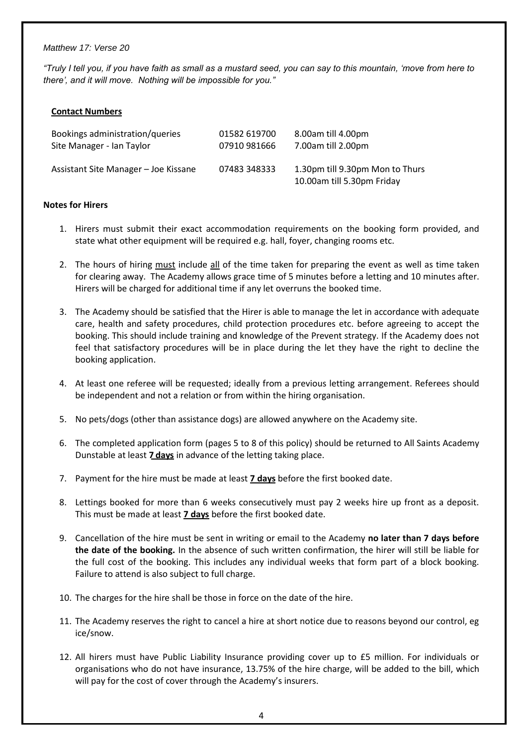*"Truly I tell you, if you have faith as small as a mustard seed, you can say to this mountain, 'move from here to there', and it will move. Nothing will be impossible for you."*

## **Contact Numbers**

| Bookings administration/queries      | 01582 619700 | 8.00am till 4.00pm                                            |
|--------------------------------------|--------------|---------------------------------------------------------------|
| Site Manager - Ian Taylor            | 07910 981666 | 7.00am till 2.00pm                                            |
| Assistant Site Manager – Joe Kissane | 07483 348333 | 1.30pm till 9.30pm Mon to Thurs<br>10.00am till 5.30pm Friday |

#### **Notes for Hirers**

- 1. Hirers must submit their exact accommodation requirements on the booking form provided, and state what other equipment will be required e.g. hall, foyer, changing rooms etc.
- 2. The hours of hiring must include all of the time taken for preparing the event as well as time taken for clearing away. The Academy allows grace time of 5 minutes before a letting and 10 minutes after. Hirers will be charged for additional time if any let overruns the booked time.
- 3. The Academy should be satisfied that the Hirer is able to manage the let in accordance with adequate care, health and safety procedures, child protection procedures etc. before agreeing to accept the booking. This should include training and knowledge of the Prevent strategy. If the Academy does not feel that satisfactory procedures will be in place during the let they have the right to decline the booking application.
- 4. At least one referee will be requested; ideally from a previous letting arrangement. Referees should be independent and not a relation or from within the hiring organisation.
- 5. No pets/dogs (other than assistance dogs) are allowed anywhere on the Academy site.
- 6. The completed application form (pages 5 to 8 of this policy) should be returned to All Saints Academy Dunstable at least **7 days** in advance of the letting taking place.
- 7. Payment for the hire must be made at least **7 days** before the first booked date.
- 8. Lettings booked for more than 6 weeks consecutively must pay 2 weeks hire up front as a deposit. This must be made at least **7 days** before the first booked date.
- 9. Cancellation of the hire must be sent in writing or email to the Academy **no later than 7 days before the date of the booking.** In the absence of such written confirmation, the hirer will still be liable for the full cost of the booking. This includes any individual weeks that form part of a block booking. Failure to attend is also subject to full charge.
- 10. The charges for the hire shall be those in force on the date of the hire.
- 11. The Academy reserves the right to cancel a hire at short notice due to reasons beyond our control, eg ice/snow.
- 12. All hirers must have Public Liability Insurance providing cover up to £5 million. For individuals or organisations who do not have insurance, 13.75% of the hire charge, will be added to the bill, which will pay for the cost of cover through the Academy's insurers.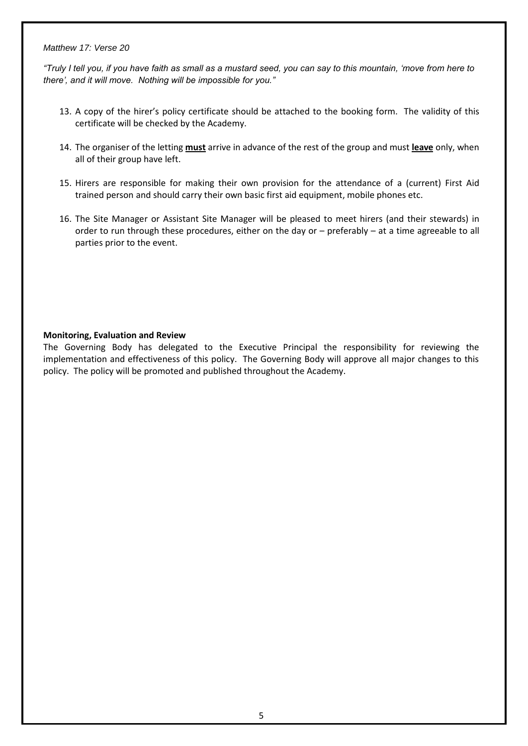*"Truly I tell you, if you have faith as small as a mustard seed, you can say to this mountain, 'move from here to there', and it will move. Nothing will be impossible for you."*

- 13. A copy of the hirer's policy certificate should be attached to the booking form. The validity of this certificate will be checked by the Academy.
- 14. The organiser of the letting **must** arrive in advance of the rest of the group and must **leave** only, when all of their group have left.
- 15. Hirers are responsible for making their own provision for the attendance of a (current) First Aid trained person and should carry their own basic first aid equipment, mobile phones etc.
- 16. The Site Manager or Assistant Site Manager will be pleased to meet hirers (and their stewards) in order to run through these procedures, either on the day or – preferably – at a time agreeable to all parties prior to the event.

## **Monitoring, Evaluation and Review**

The Governing Body has delegated to the Executive Principal the responsibility for reviewing the implementation and effectiveness of this policy. The Governing Body will approve all major changes to this policy. The policy will be promoted and published throughout the Academy.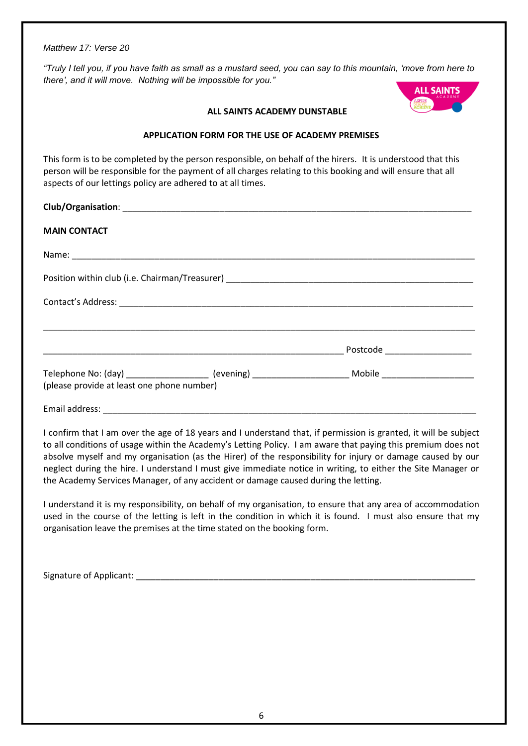*"Truly I tell you, if you have faith as small as a mustard seed, you can say to this mountain, 'move from here to there', and it will move. Nothing will be impossible for you."*



#### **ALL SAINTS ACADEMY DUNSTABLE**

## **APPLICATION FORM FOR THE USE OF ACADEMY PREMISES**

This form is to be completed by the person responsible, on behalf of the hirers. It is understood that this person will be responsible for the payment of all charges relating to this booking and will ensure that all aspects of our lettings policy are adhered to at all times.

| Club/Organisation: |  |
|--------------------|--|
|                    |  |

# **MAIN CONTACT**

| Name: 2008 2009 2010 2021 2022 2023 2024 2022 2023 2024 2022 2023 2024 2022 2023 2024 2022 2023 2024 2022 2023 |                                                                                                                |  |
|----------------------------------------------------------------------------------------------------------------|----------------------------------------------------------------------------------------------------------------|--|
|                                                                                                                |                                                                                                                |  |
|                                                                                                                |                                                                                                                |  |
|                                                                                                                | Postcode Postcode                                                                                              |  |
| (please provide at least one phone number)                                                                     | Telephone No: (day) ___________________ (evening) ______________________________Mobile _______________________ |  |

Email address:

I confirm that I am over the age of 18 years and I understand that, if permission is granted, it will be subject to all conditions of usage within the Academy's Letting Policy. I am aware that paying this premium does not absolve myself and my organisation (as the Hirer) of the responsibility for injury or damage caused by our neglect during the hire. I understand I must give immediate notice in writing, to either the Site Manager or the Academy Services Manager, of any accident or damage caused during the letting.

I understand it is my responsibility, on behalf of my organisation, to ensure that any area of accommodation used in the course of the letting is left in the condition in which it is found. I must also ensure that my organisation leave the premises at the time stated on the booking form.

Signature of Applicant: \_\_\_\_\_\_\_\_\_\_\_\_\_\_\_\_\_\_\_\_\_\_\_\_\_\_\_\_\_\_\_\_\_\_\_\_\_\_\_\_\_\_\_\_\_\_\_\_\_\_\_\_\_\_\_\_\_\_\_\_\_\_\_\_\_\_\_\_\_\_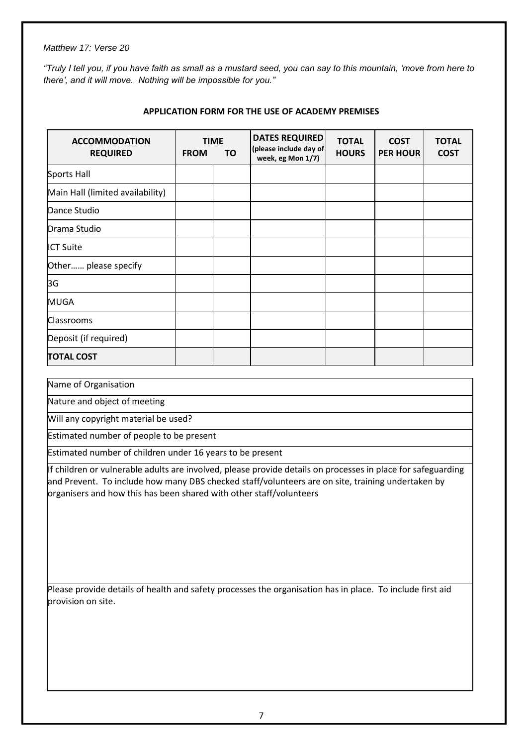*"Truly I tell you, if you have faith as small as a mustard seed, you can say to this mountain, 'move from here to there', and it will move. Nothing will be impossible for you."*

| <b>ACCOMMODATION</b><br><b>REQUIRED</b> | <b>TIME</b><br><b>FROM</b> | ΤO | <b>DATES REQUIRED</b><br>(please include day of<br>week, eg Mon 1/7) | <b>TOTAL</b><br><b>HOURS</b> | <b>COST</b><br><b>PER HOUR</b> | <b>TOTAL</b><br><b>COST</b> |
|-----------------------------------------|----------------------------|----|----------------------------------------------------------------------|------------------------------|--------------------------------|-----------------------------|
| Sports Hall                             |                            |    |                                                                      |                              |                                |                             |
| Main Hall (limited availability)        |                            |    |                                                                      |                              |                                |                             |
| Dance Studio                            |                            |    |                                                                      |                              |                                |                             |
| Drama Studio                            |                            |    |                                                                      |                              |                                |                             |
| <b>IICT Suite</b>                       |                            |    |                                                                      |                              |                                |                             |
| Other please specify                    |                            |    |                                                                      |                              |                                |                             |
| 3G                                      |                            |    |                                                                      |                              |                                |                             |
| <b>MUGA</b>                             |                            |    |                                                                      |                              |                                |                             |
| <b>Classrooms</b>                       |                            |    |                                                                      |                              |                                |                             |
| Deposit (if required)                   |                            |    |                                                                      |                              |                                |                             |
| <b>TOTAL COST</b>                       |                            |    |                                                                      |                              |                                |                             |

## **APPLICATION FORM FOR THE USE OF ACADEMY PREMISES**

Name of Organisation

Nature and object of meeting

Will any copyright material be used?

Estimated number of people to be present

Estimated number of children under 16 years to be present

If children or vulnerable adults are involved, please provide details on processes in place for safeguarding and Prevent. To include how many DBS checked staff/volunteers are on site, training undertaken by organisers and how this has been shared with other staff/volunteers

Please provide details of health and safety processes the organisation has in place. To include first aid provision on site.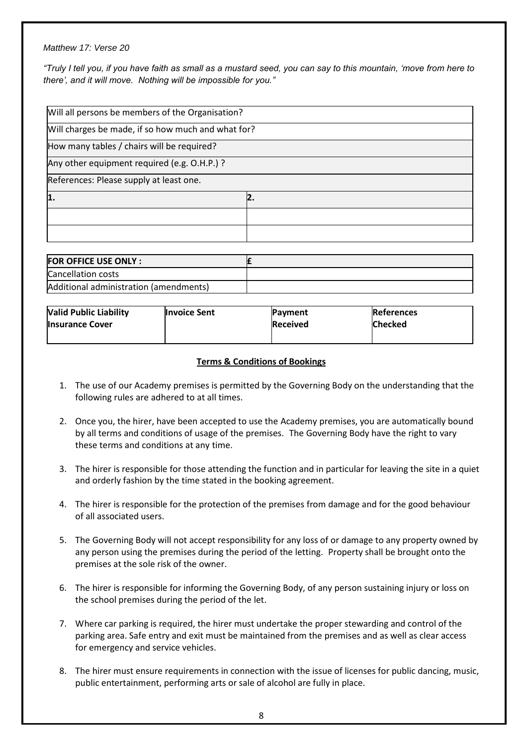*"Truly I tell you, if you have faith as small as a mustard seed, you can say to this mountain, 'move from here to there', and it will move. Nothing will be impossible for you."*

| Will all persons be members of the Organisation?   |    |  |
|----------------------------------------------------|----|--|
| Will charges be made, if so how much and what for? |    |  |
| How many tables / chairs will be required?         |    |  |
| Any other equipment required (e.g. O.H.P.) ?       |    |  |
| References: Please supply at least one.            |    |  |
| 1.                                                 | 2. |  |
|                                                    |    |  |
|                                                    |    |  |

| <b>FOR OFFICE USE ONLY:</b>            |  |
|----------------------------------------|--|
| Cancellation costs                     |  |
| Additional administration (amendments) |  |

| <b>Valid Public Liability</b> | <b>Invoice Sent</b> | <b>Payment</b>  | <b>References</b> |
|-------------------------------|---------------------|-----------------|-------------------|
| <b>Insurance Cover</b>        |                     | <b>Received</b> | <b>Checked</b>    |
|                               |                     |                 |                   |

## **Terms & Conditions of Bookings**

- 1. The use of our Academy premises is permitted by the Governing Body on the understanding that the following rules are adhered to at all times.
- 2. Once you, the hirer, have been accepted to use the Academy premises, you are automatically bound by all terms and conditions of usage of the premises. The Governing Body have the right to vary these terms and conditions at any time.
- 3. The hirer is responsible for those attending the function and in particular for leaving the site in a quiet and orderly fashion by the time stated in the booking agreement.
- 4. The hirer is responsible for the protection of the premises from damage and for the good behaviour of all associated users.
- 5. The Governing Body will not accept responsibility for any loss of or damage to any property owned by any person using the premises during the period of the letting. Property shall be brought onto the premises at the sole risk of the owner.
- 6. The hirer is responsible for informing the Governing Body, of any person sustaining injury or loss on the school premises during the period of the let.
- 7. Where car parking is required, the hirer must undertake the proper stewarding and control of the parking area. Safe entry and exit must be maintained from the premises and as well as clear access for emergency and service vehicles.
- 8. The hirer must ensure requirements in connection with the issue of licenses for public dancing, music, public entertainment, performing arts or sale of alcohol are fully in place.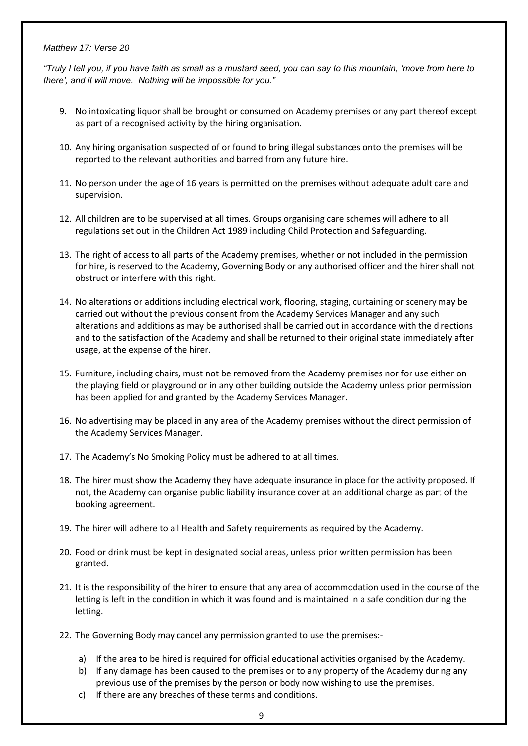*"Truly I tell you, if you have faith as small as a mustard seed, you can say to this mountain, 'move from here to there', and it will move. Nothing will be impossible for you."*

- 9. No intoxicating liquor shall be brought or consumed on Academy premises or any part thereof except as part of a recognised activity by the hiring organisation.
- 10. Any hiring organisation suspected of or found to bring illegal substances onto the premises will be reported to the relevant authorities and barred from any future hire.
- 11. No person under the age of 16 years is permitted on the premises without adequate adult care and supervision.
- 12. All children are to be supervised at all times. Groups organising care schemes will adhere to all regulations set out in the Children Act 1989 including Child Protection and Safeguarding.
- 13. The right of access to all parts of the Academy premises, whether or not included in the permission for hire, is reserved to the Academy, Governing Body or any authorised officer and the hirer shall not obstruct or interfere with this right.
- 14. No alterations or additions including electrical work, flooring, staging, curtaining or scenery may be carried out without the previous consent from the Academy Services Manager and any such alterations and additions as may be authorised shall be carried out in accordance with the directions and to the satisfaction of the Academy and shall be returned to their original state immediately after usage, at the expense of the hirer.
- 15. Furniture, including chairs, must not be removed from the Academy premises nor for use either on the playing field or playground or in any other building outside the Academy unless prior permission has been applied for and granted by the Academy Services Manager.
- 16. No advertising may be placed in any area of the Academy premises without the direct permission of the Academy Services Manager.
- 17. The Academy's No Smoking Policy must be adhered to at all times.
- 18. The hirer must show the Academy they have adequate insurance in place for the activity proposed. If not, the Academy can organise public liability insurance cover at an additional charge as part of the booking agreement.
- 19. The hirer will adhere to all Health and Safety requirements as required by the Academy.
- 20. Food or drink must be kept in designated social areas, unless prior written permission has been granted.
- 21. It is the responsibility of the hirer to ensure that any area of accommodation used in the course of the letting is left in the condition in which it was found and is maintained in a safe condition during the letting.
- 22. The Governing Body may cancel any permission granted to use the premises:
	- a) If the area to be hired is required for official educational activities organised by the Academy.
	- b) If any damage has been caused to the premises or to any property of the Academy during any previous use of the premises by the person or body now wishing to use the premises.
	- c) If there are any breaches of these terms and conditions.